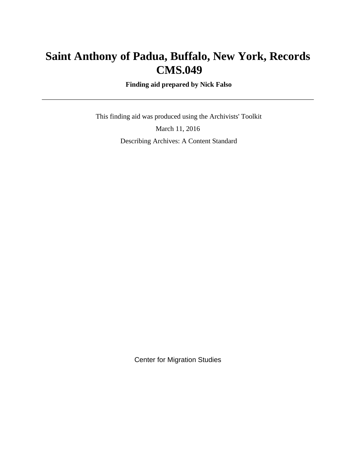# **Saint Anthony of Padua, Buffalo, New York, Records CMS.049**

 **Finding aid prepared by Nick Falso**

 This finding aid was produced using the Archivists' Toolkit March 11, 2016 Describing Archives: A Content Standard

Center for Migration Studies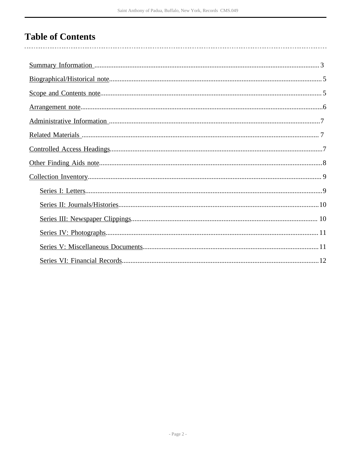# **Table of Contents**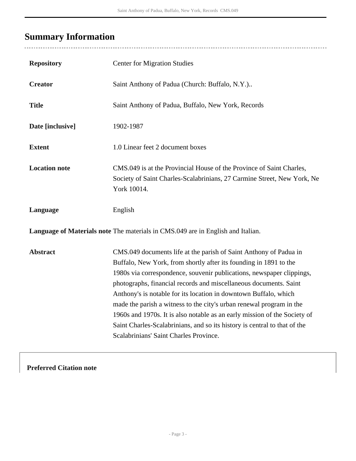# <span id="page-2-0"></span>**Summary Information**

| <b>Repository</b>                                                               | <b>Center for Migration Studies</b>                                                                                                                                                                                                                                                                                                                                                                                                                                                                                                                                                                                                  |  |  |
|---------------------------------------------------------------------------------|--------------------------------------------------------------------------------------------------------------------------------------------------------------------------------------------------------------------------------------------------------------------------------------------------------------------------------------------------------------------------------------------------------------------------------------------------------------------------------------------------------------------------------------------------------------------------------------------------------------------------------------|--|--|
| <b>Creator</b>                                                                  | Saint Anthony of Padua (Church: Buffalo, N.Y.)                                                                                                                                                                                                                                                                                                                                                                                                                                                                                                                                                                                       |  |  |
| <b>Title</b>                                                                    | Saint Anthony of Padua, Buffalo, New York, Records                                                                                                                                                                                                                                                                                                                                                                                                                                                                                                                                                                                   |  |  |
| Date [inclusive]                                                                | 1902-1987                                                                                                                                                                                                                                                                                                                                                                                                                                                                                                                                                                                                                            |  |  |
| <b>Extent</b>                                                                   | 1.0 Linear feet 2 document boxes                                                                                                                                                                                                                                                                                                                                                                                                                                                                                                                                                                                                     |  |  |
| <b>Location note</b>                                                            | CMS.049 is at the Provincial House of the Province of Saint Charles,<br>Society of Saint Charles-Scalabrinians, 27 Carmine Street, New York, Ne<br>York 10014.                                                                                                                                                                                                                                                                                                                                                                                                                                                                       |  |  |
| Language                                                                        | English                                                                                                                                                                                                                                                                                                                                                                                                                                                                                                                                                                                                                              |  |  |
| Language of Materials note The materials in CMS.049 are in English and Italian. |                                                                                                                                                                                                                                                                                                                                                                                                                                                                                                                                                                                                                                      |  |  |
| <b>Abstract</b>                                                                 | CMS.049 documents life at the parish of Saint Anthony of Padua in<br>Buffalo, New York, from shortly after its founding in 1891 to the<br>1980s via correspondence, souvenir publications, newspaper clippings,<br>photographs, financial records and miscellaneous documents. Saint<br>Anthony's is notable for its location in downtown Buffalo, which<br>made the parish a witness to the city's urban renewal program in the<br>1960s and 1970s. It is also notable as an early mission of the Society of<br>Saint Charles-Scalabrinians, and so its history is central to that of the<br>Scalabrinians' Saint Charles Province. |  |  |

**Preferred Citation note**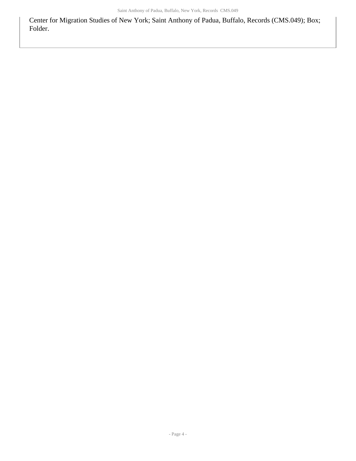Center for Migration Studies of New York; Saint Anthony of Padua, Buffalo, Records (CMS.049); Box; Folder.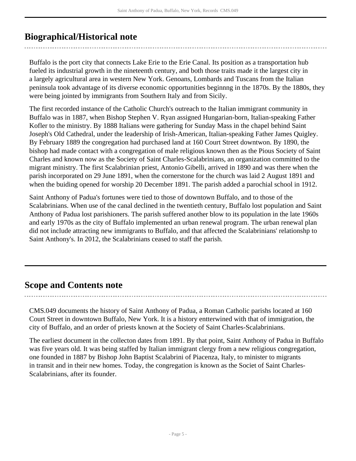# <span id="page-4-0"></span>**Biographical/Historical note**

Buffalo is the port city that connects Lake Erie to the Erie Canal. Its position as a transportation hub fueled its industrial growth in the nineteenth century, and both those traits made it the largest city in a largely agricultural area in western New York. Genoans, Lombards and Tuscans from the Italian peninsula took advantage of its diverse economic opportunities beginnng in the 1870s. By the 1880s, they were being jointed by immigrants from Southern Italy and from Sicily.

The first recorded instance of the Catholic Church's outreach to the Italian immigrant community in Buffalo was in 1887, when Bishop Stephen V. Ryan assigned Hungarian-born, Italian-speaking Father Kofler to the ministry. By 1888 Italians were gathering for Sunday Mass in the chapel behind Saint Joseph's Old Cathedral, under the leadership of Irish-American, Italian-speaking Father James Quigley. By February 1889 the congregation had purchased land at 160 Court Street downtwon. By 1890, the bishop had made contact with a congregation of male religious known then as the Pious Society of Saint Charles and known now as the Society of Saint Charles-Scalabrinians, an organization committed to the migrant ministry. The first Scalabrinian priest, Antonio Gibelli, arrived in 1890 and was there when the parish incorporated on 29 June 1891, when the cornerstone for the church was laid 2 August 1891 and when the buiding opened for worship 20 December 1891. The parish added a parochial school in 1912.

Saint Anthony of Padua's fortunes were tied to those of downtown Buffalo, and to those of the Scalabrinians. When use of the canal declined in the twentieth century, Buffalo lost population and Saint Anthony of Padua lost parishioners. The parish suffered another blow to its population in the late 1960s and early 1970s as the city of Buffalo implemented an urban renewal program. The urban renewal plan did not include attracting new immigrants to Buffalo, and that affected the Scalabrinians' relationshp to Saint Anthony's. In 2012, the Scalabrinians ceased to staff the parish.

# <span id="page-4-1"></span>**Scope and Contents note**

CMS.049 documents the history of Saint Anthony of Padua, a Roman Catholic parishs located at 160 Court Street in downtown Buffalo, New York. It is a history entterwined with that of immigration, the city of Buffalo, and an order of priests known at the Society of Saint Charles-Scalabrinians.

The earliest document in the collecton dates from 1891. By that point, Saint Anthony of Padua in Buffalo was five years old. It was being staffed by Italian immigrant clergy from a new religious congregation, one founded in 1887 by Bishop John Baptist Scalabrini of Piacenza, Italy, to minister to migrants in transit and in their new homes. Today, the congregation is known as the Societ of Saint Charles-Scalabrinians, after its founder.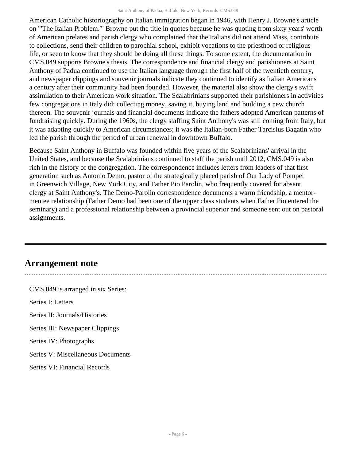American Catholic historiography on Italian immigration began in 1946, with Henry J. Browne's article on "'The Italian Problem.'" Browne put the title in quotes because he was quoting from sixty years' worth of American prelates and parish clergy who complained that the Italians did not attend Mass, contribute to collections, send their children to parochial school, exhibit vocations to the priesthood or religious life, or seen to know that they should be doing all these things. To some extent, the documentation in CMS.049 supports Browne's thesis. The correspondence and financial clergy and parishioners at Saint Anthony of Padua continued to use the Italian language through the first half of the twentieth century, and newspaper clippings and souvenir journals indicate they continued to identify as Italian Americans a century after their community had been founded. However, the material also show the clergy's swift assimilation to their American work situation. The Scalabrinians supported their parishioners in activities few congregations in Italy did: collecting money, saving it, buying land and building a new church thereon. The souvenir journals and financial documents indicate the fathers adopted American patterns of fundraising quickly. During the 1960s, the clergy staffing Saint Anthony's was still coming from Italy, but it was adapting quickly to American circumstances; it was the Italian-born Father Tarcisius Bagatin who led the parish through the period of urban renewal in downtown Buffalo.

Because Saint Anthony in Buffalo was founded within five years of the Scalabrinians' arrival in the United States, and because the Scalabrinians continued to staff the parish until 2012, CMS.049 is also rich in the history of the congregation. The correspondence includes letters from leaders of that first generation such as Antonio Demo, pastor of the strategically placed parish of Our Lady of Pompei in Greenwich Village, New York City, and Father Pio Parolin, who frequently covered for absent clergy at Saint Anthony's. The Demo-Parolin correspondence documents a warm friendship, a mentormentee relationship (Father Demo had been one of the upper class students when Father Pio entered the seminary) and a professional relationship between a provincial superior and someone sent out on pastoral assignments.

# <span id="page-5-0"></span>**Arrangement note**

CMS.049 is arranged in six Series: Series I: Letters Series II: Journals/Histories Series III: Newspaper Clippings Series IV: Photographs Series V: Miscellaneous Documents Series VI: Financial Records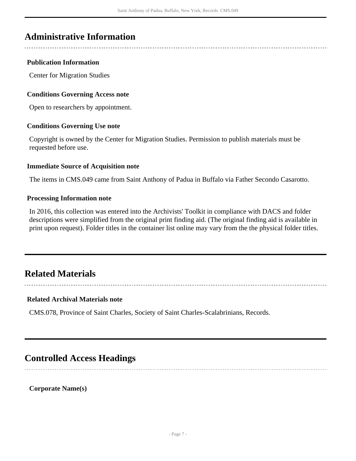# <span id="page-6-0"></span>**Administrative Information**

### **Publication Information**

Center for Migration Studies

### **Conditions Governing Access note**

Open to researchers by appointment.

### **Conditions Governing Use note**

Copyright is owned by the Center for Migration Studies. Permission to publish materials must be requested before use.

### **Immediate Source of Acquisition note**

The items in CMS.049 came from Saint Anthony of Padua in Buffalo via Father Secondo Casarotto.

### **Processing Information note**

In 2016, this collection was entered into the Archivists' Toolkit in compliance with DACS and folder descriptions were simplified from the original print finding aid. (The original finding aid is available in print upon request). Folder titles in the container list online may vary from the the physical folder titles.

## <span id="page-6-1"></span>**Related Materials**

### **Related Archival Materials note**

CMS.078, Province of Saint Charles, Society of Saint Charles-Scalabrinians, Records.

## <span id="page-6-2"></span>**Controlled Access Headings**

**Corporate Name(s)**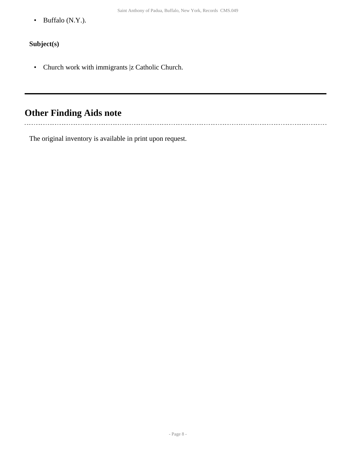• Buffalo (N.Y.).

## **Subject(s)**

• Church work with immigrants |z Catholic Church.

# <span id="page-7-0"></span>**Other Finding Aids note**

The original inventory is available in print upon request.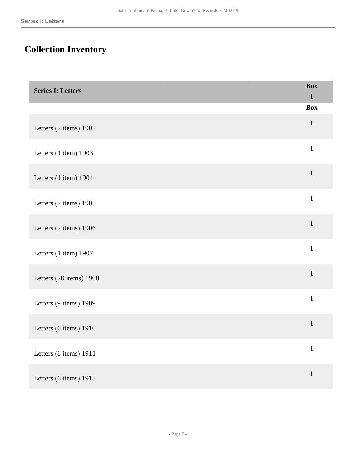# <span id="page-8-0"></span>**Collection Inventory**

<span id="page-8-1"></span>

| <b>Series I: Letters</b> | <b>Box</b><br>$\mathbf{1}$ |
|--------------------------|----------------------------|
|                          | <b>Box</b>                 |
| Letters (2 items) 1902   | $\mathbf{1}$               |
| Letters (1 item) 1903    | $\mathbf{1}$               |
| Letters (1 item) 1904    | $\mathbf{1}$               |
| Letters (2 items) 1905   | $\mathbf 1$                |
| Letters (2 items) 1906   | $1\,$                      |
| Letters (1 item) 1907    | $\mathbf 1$                |
| Letters (20 items) 1908  | $\mathbf{1}$               |
| Letters (9 items) 1909   | $\mathbf{1}$               |
| Letters (6 items) 1910   | $\mathbf{1}$               |
| Letters (8 items) 1911   | $\,1$                      |
| Letters (6 items) 1913   | $1\,$                      |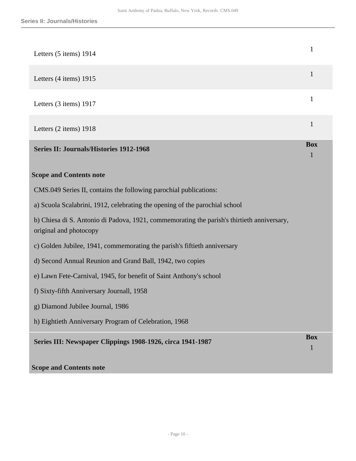<span id="page-9-0"></span>

| Letters (5 items) 1914                                                                                               | $\mathbf{1}$               |
|----------------------------------------------------------------------------------------------------------------------|----------------------------|
| Letters (4 items) 1915                                                                                               | $\mathbf{1}$               |
| Letters (3 items) 1917                                                                                               | $\mathbf{1}$               |
| Letters (2 items) 1918                                                                                               | $\mathbf{1}$               |
| <b>Series II: Journals/Histories 1912-1968</b>                                                                       | <b>Box</b><br>$\mathbf{1}$ |
| <b>Scope and Contents note</b>                                                                                       |                            |
| CMS.049 Series II, contains the following parochial publications:                                                    |                            |
| a) Scuola Scalabrini, 1912, celebrating the opening of the parochial school                                          |                            |
| b) Chiesa di S. Antonio di Padova, 1921, commemorating the parish's thirtieth anniversary,<br>original and photocopy |                            |
| c) Golden Jubilee, 1941, commemorating the parish's fiftieth anniversary                                             |                            |
| d) Second Annual Reunion and Grand Ball, 1942, two copies                                                            |                            |
| e) Lawn Fete-Carnival, 1945, for benefit of Saint Anthony's school                                                   |                            |
| f) Sixty-fifth Anniversary Journall, 1958                                                                            |                            |
| g) Diamond Jubilee Journal, 1986                                                                                     |                            |
| h) Eightieth Anniversary Program of Celebration, 1968                                                                |                            |
| Series III: Newspaper Clippings 1908-1926, circa 1941-1987                                                           | <b>Box</b><br>$\mathbf{1}$ |

### <span id="page-9-1"></span>**Scope and Contents note**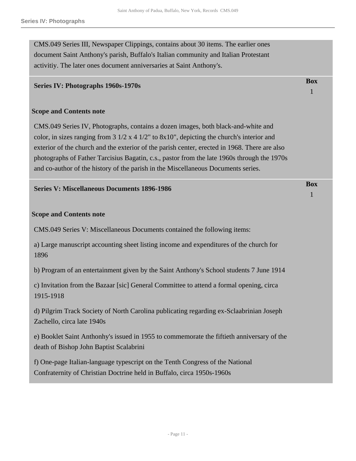CMS.049 Series III, Newspaper Clippings, contains about 30 items. The earlier ones document Saint Anthony's parish, Buffalo's Italian community and Italian Protestant activitiy. The later ones document anniversaries at Saint Anthony's.

### <span id="page-10-0"></span>**Series IV: Photographs 1960s-1970s**

#### **Scope and Contents note**

CMS.049 Series IV, Photographs, contains a dozen images, both black-and-white and color, in sizes ranging from  $3 \frac{1}{2} \times 4 \frac{1}{2}$  to  $8 \times 10$ ", depicting the church's interior and exterior of the church and the exterior of the parish center, erected in 1968. There are also photographs of Father Tarcisius Bagatin, c.s., pastor from the late 1960s through the 1970s and co-author of the history of the parish in the Miscellaneous Documents series.

#### <span id="page-10-1"></span>**Series V: Miscellaneous Documents 1896-1986**

#### **Scope and Contents note**

CMS.049 Series V: Miscellaneous Documents contained the following items:

a) Large manuscript accounting sheet listing income and expenditures of the church for 1896

b) Program of an entertainment given by the Saint Anthony's School students 7 June 1914

c) Invitation from the Bazaar [sic] General Committee to attend a formal opening, circa 1915-1918

d) Pilgrim Track Society of North Carolina publicating regarding ex-Sclaabrinian Joseph Zachello, circa late 1940s

e) Booklet Saint Anthonhy's issued in 1955 to commemorate the fiftieth anniversary of the death of Bishop John Baptist Scalabrini

f) One-page Italian-language typescript on the Tenth Congress of the National Confraternity of Christian Doctrine held in Buffalo, circa 1950s-1960s

# **Box**

1